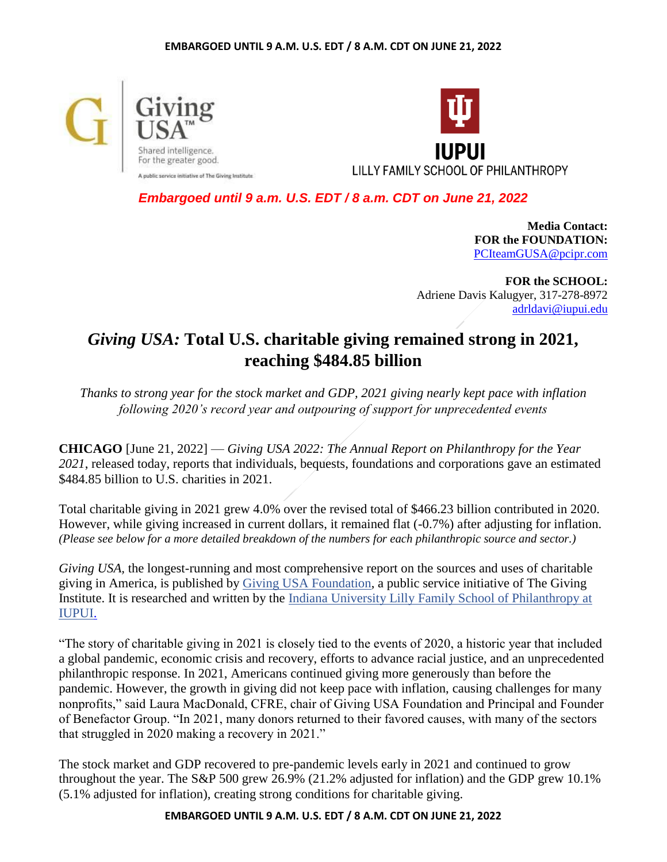



*Embargoed until 9 a.m. U.S. EDT / 8 a.m. CDT on June 21, 2022*

**Media Contact: FOR the FOUNDATION:** [PCIteamGUSA@pcipr.com](mailto:PCIteamGUSA@pcipr.com)

**FOR the SCHOOL:** Adriene Davis Kalugyer, 317-278-8972 [adrldavi@iupui.edu](mailto:adrldavi@iupui.edu)

# *Giving USA:* **Total U.S. charitable giving remained strong in 2021, reaching \$484.85 billion**

*Thanks to strong year for the stock market and GDP, 2021 giving nearly kept pace with inflation following 2020's record year and outpouring of support for unprecedented events*

**CHICAGO** [June 21, 2022] — *[Giving USA 2022: The Annual Report on Philanthropy for the Year](https://givingusa.org/)  [202](https://givingusa.org/)1*, released today, reports that individuals, bequests, foundations and corporations gave an estimated \$484.85 billion to U.S. charities in 2021.

Total charitable giving in 2021 grew 4.0% over the revised total of \$466.23 billion contributed in 2020. However, while giving increased in current dollars, it remained flat (-0.7%) after adjusting for inflation. *(Please see below for a more detailed breakdown of the numbers for each philanthropic source and sector.)*

*Giving USA,* the longest-running and most comprehensive report on the sources and uses of charitable giving in America, is published by [Giving USA Foundation,](https://givingusa.org/) a public service initiative of The Giving Institute. It is researched and written by the [Indiana University Lilly Family School of Philanthropy at](https://philanthropy.iupui.edu/)  [IUPUI.](https://philanthropy.iupui.edu/)

"The story of charitable giving in 2021 is closely tied to the events of 2020, a historic year that included a global pandemic, economic crisis and recovery, efforts to advance racial justice, and an unprecedented philanthropic response. In 2021, Americans continued giving more generously than before the pandemic. However, the growth in giving did not keep pace with inflation, causing challenges for many nonprofits," said Laura MacDonald, CFRE, chair of Giving USA Foundation and Principal and Founder of Benefactor Group. "In 2021, many donors returned to their favored causes, with many of the sectors that struggled in 2020 making a recovery in 2021."

The stock market and GDP recovered to pre-pandemic levels early in 2021 and continued to grow throughout the year. The S&P 500 grew 26.9% (21.2% adjusted for inflation) and the GDP grew 10.1% (5.1% adjusted for inflation), creating strong conditions for charitable giving.

# **EMBARGOED UNTIL 9 A.M. U.S. EDT / 8 A.M. CDT ON JUNE 21, 2022**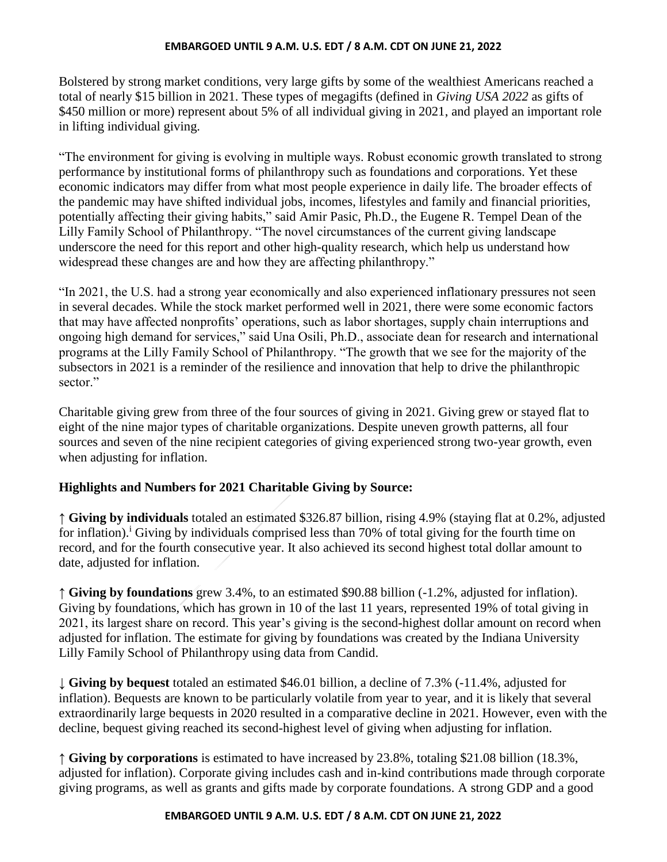Bolstered by strong market conditions, very large gifts by some of the wealthiest Americans reached a total of nearly \$15 billion in 2021. These types of megagifts (defined in *Giving USA 2022* as gifts of \$450 million or more) represent about 5% of all individual giving in 2021, and played an important role in lifting individual giving.

"The environment for giving is evolving in multiple ways. Robust economic growth translated to strong performance by institutional forms of philanthropy such as foundations and corporations. Yet these economic indicators may differ from what most people experience in daily life. The broader effects of the pandemic may have shifted individual jobs, incomes, lifestyles and family and financial priorities, potentially affecting their giving habits," said Amir Pasic, Ph.D., the Eugene R. Tempel Dean of the Lilly Family School of Philanthropy. "The novel circumstances of the current giving landscape underscore the need for this report and other high-quality research, which help us understand how widespread these changes are and how they are affecting philanthropy."

"In 2021, the U.S. had a strong year economically and also experienced inflationary pressures not seen in several decades. While the stock market performed well in 2021, there were some economic factors that may have affected nonprofits' operations, such as labor shortages, supply chain interruptions and ongoing high demand for services," said Una Osili, Ph.D., associate dean for research and international programs at the Lilly Family School of Philanthropy. "The growth that we see for the majority of the subsectors in 2021 is a reminder of the resilience and innovation that help to drive the philanthropic sector."

Charitable giving grew from three of the four sources of giving in 2021. Giving grew or stayed flat to eight of the nine major types of charitable organizations. Despite uneven growth patterns, all four sources and seven of the nine recipient categories of giving experienced strong two-year growth, even when adjusting for inflation.

# **Highlights and Numbers for 2021 Charitable Giving by Source:**

**↑ Giving by individuals** totaled an estimated \$326.87 billion, rising 4.9% (staying flat at 0.2%, adjusted for inflation).<sup>*i*</sup> Giving by individuals comprised less than 70% of total giving for the fourth time on record, and for the fourth consecutive year. It also achieved its second highest total dollar amount to date, adjusted for inflation.

**↑ Giving by foundations** grew 3.4%, to an estimated \$90.88 billion (-1.2%, adjusted for inflation). Giving by foundations, which has grown in 10 of the last 11 years, represented 19% of total giving in 2021, its largest share on record. This year's giving is the second-highest dollar amount on record when adjusted for inflation. The estimate for giving by foundations was created by the Indiana University Lilly Family School of Philanthropy using data from Candid.

↓ **Giving by bequest** totaled an estimated \$46.01 billion, a decline of 7.3% (-11.4%, adjusted for inflation). Bequests are known to be particularly volatile from year to year, and it is likely that several extraordinarily large bequests in 2020 resulted in a comparative decline in 2021. However, even with the decline, bequest giving reached its second-highest level of giving when adjusting for inflation.

**↑ Giving by corporations** is estimated to have increased by 23.8%, totaling \$21.08 billion (18.3%, adjusted for inflation). Corporate giving includes cash and in-kind contributions made through corporate giving programs, as well as grants and gifts made by corporate foundations. A strong GDP and a good

### **EMBARGOED UNTIL 9 A.M. U.S. EDT / 8 A.M. CDT ON JUNE 21, 2022**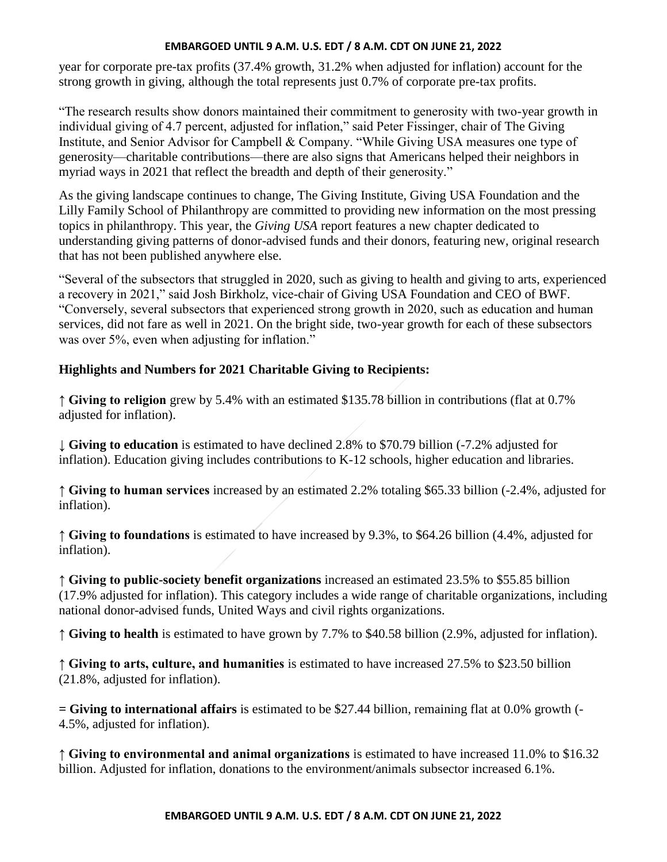year for corporate pre-tax profits (37.4% growth, 31.2% when adjusted for inflation) account for the strong growth in giving, although the total represents just 0.7% of corporate pre-tax profits.

"The research results show donors maintained their commitment to generosity with two-year growth in individual giving of 4.7 percent, adjusted for inflation," said Peter Fissinger, chair of The Giving Institute, and Senior Advisor for Campbell & Company. "While Giving USA measures one type of generosity—charitable contributions—there are also signs that Americans helped their neighbors in myriad ways in 2021 that reflect the breadth and depth of their generosity."

As the giving landscape continues to change, The Giving Institute, Giving USA Foundation and the Lilly Family School of Philanthropy are committed to providing new information on the most pressing topics in philanthropy. This year, the *Giving USA* report features a new chapter dedicated to understanding giving patterns of donor-advised funds and their donors, featuring new, original research that has not been published anywhere else.

"Several of the subsectors that struggled in 2020, such as giving to health and giving to arts, experienced a recovery in 2021," said Josh Birkholz, vice-chair of Giving USA Foundation and CEO of BWF. "Conversely, several subsectors that experienced strong growth in 2020, such as education and human services, did not fare as well in 2021. On the bright side, two-year growth for each of these subsectors was over 5%, even when adjusting for inflation."

# **Highlights and Numbers for 2021 Charitable Giving to Recipients:**

**↑ Giving to religion** grew by 5.4% with an estimated \$135.78 billion in contributions (flat at 0.7% adjusted for inflation).

↓ **Giving to education** is estimated to have declined 2.8% to \$70.79 billion (-7.2% adjusted for inflation). Education giving includes contributions to K-12 schools, higher education and libraries.

**↑ Giving to human services** increased by an estimated 2.2% totaling \$65.33 billion (-2.4%, adjusted for inflation).

**↑ Giving to foundations** is estimated to have increased by 9.3%, to \$64.26 billion (4.4%, adjusted for inflation).

**↑ Giving to public-society benefit organizations** increased an estimated 23.5% to \$55.85 billion (17.9% adjusted for inflation). This category includes a wide range of charitable organizations, including national donor-advised funds, United Ways and civil rights organizations.

**↑ Giving to health** is estimated to have grown by 7.7% to \$40.58 billion (2.9%, adjusted for inflation).

**↑ Giving to arts, culture, and humanities** is estimated to have increased 27.5% to \$23.50 billion (21.8%, adjusted for inflation).

**= Giving to international affairs** is estimated to be \$27.44 billion, remaining flat at 0.0% growth (- 4.5%, adjusted for inflation).

**↑ Giving to environmental and animal organizations** is estimated to have increased 11.0% to \$16.32 billion. Adjusted for inflation, donations to the environment/animals subsector increased 6.1%.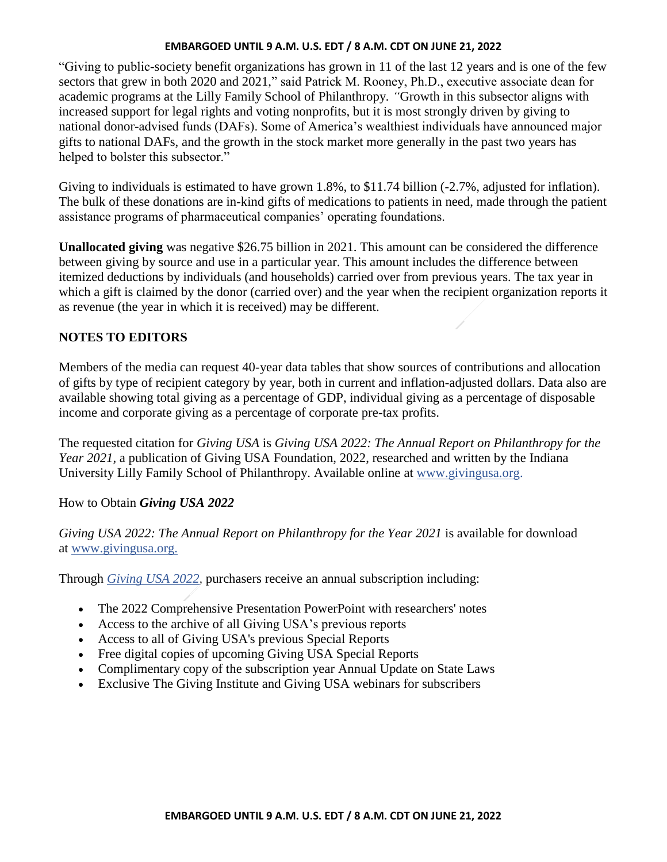"Giving to public-society benefit organizations has grown in 11 of the last 12 years and is one of the few sectors that grew in both 2020 and 2021," said Patrick M. Rooney, Ph.D., executive associate dean for academic programs at the Lilly Family School of Philanthropy*. "*Growth in this subsector aligns with increased support for legal rights and voting nonprofits, but it is most strongly driven by giving to national donor-advised funds (DAFs). Some of America's wealthiest individuals have announced major gifts to national DAFs, and the growth in the stock market more generally in the past two years has helped to bolster this subsector."

Giving to individuals is estimated to have grown 1.8%, to \$11.74 billion  $(-2.7\%$ , adjusted for inflation). The bulk of these donations are in-kind gifts of medications to patients in need, made through the patient assistance programs of pharmaceutical companies' operating foundations.

**Unallocated giving** was negative \$26.75 billion in 2021. This amount can be considered the difference between giving by source and use in a particular year. This amount includes the difference between itemized deductions by individuals (and households) carried over from previous years. The tax year in which a gift is claimed by the donor (carried over) and the year when the recipient organization reports it as revenue (the year in which it is received) may be different.

## **NOTES TO EDITORS**

Members of the media can request 40-year data tables that show sources of contributions and allocation of gifts by type of recipient category by year, both in current and inflation-adjusted dollars. Data also are available showing total giving as a percentage of GDP, individual giving as a percentage of disposable income and corporate giving as a percentage of corporate pre-tax profits.

The requested citation for *Giving USA* is *Giving USA 2022: The Annual Report on Philanthropy for the Year 2021,* a publication of Giving USA Foundation, 2022, researched and written by the Indiana University Lilly Family School of Philanthropy. Available online at [www.givingusa.org.](http://www.givingusa.org/)

# How to Obtain *Giving USA 2022*

*Giving USA 2022: The Annual Report on Philanthropy for the Year 2021* is available for download at [www.givingusa.org.](http://www.givingusa.org/)

Through *[Giving USA 2022](https://eur02.safelinks.protection.outlook.com/?url=https%3A%2F%2Fmyshopify.us8.list-manage.com%2Ftrack%2Fclick%3Fu%3D73d56ab449ac70c780349134f%26id%3D75788b3144%26e%3D0ffedbe2d7&data=04%7C01%7C%7Cc0481b027c96416c8e5008d921f14fba%7Cac144e41800148f09e1c170716ed06b6%7C0%7C1%7C637578142588202877%7CUnknown%7CTWFpbGZsb3d8eyJWIjoiMC4wLjAwMDAiLCJQIjoiV2luMzIiLCJBTiI6Ik1haWwiLCJXVCI6Mn0%3D%7C1000&sdata=iiomzpd72pWaYyVmeWO0gxKws8v8f%2FjO3tn%2FJ1IMfVc%3D&reserved=0),* purchasers receive an annual subscription including:

- The 2022 Comprehensive Presentation PowerPoint with researchers' notes
- Access to the archive of all Giving USA's previous reports
- Access to all of Giving USA's previous Special Reports
- Free digital copies of upcoming Giving USA Special Reports
- Complimentary copy of the subscription year Annual Update on State Laws
- Exclusive The Giving Institute and Giving USA webinars for subscribers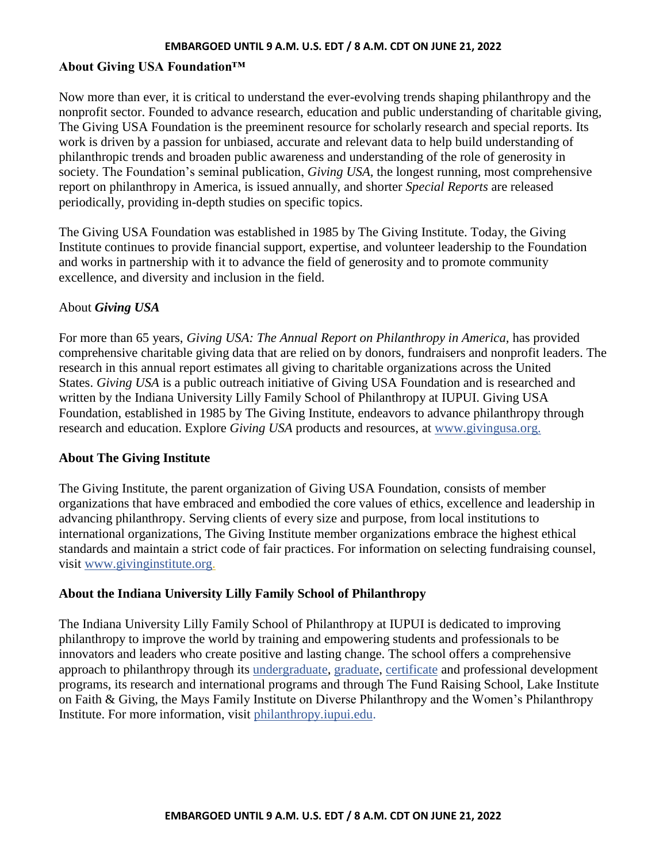## **About Giving USA Foundation™**

Now more than ever, it is critical to understand the ever-evolving trends shaping philanthropy and the nonprofit sector. Founded to advance research, education and public understanding of charitable giving, The Giving USA Foundation is the preeminent resource for scholarly research and special reports. Its work is driven by a passion for unbiased, accurate and relevant data to help build understanding of philanthropic trends and broaden public awareness and understanding of the role of generosity in society. The Foundation's seminal publication, *Giving USA,* the longest running, most comprehensive report on philanthropy in America, is issued annually, and shorter *Special Reports* are released periodically, providing in-depth studies on specific topics.

The Giving USA Foundation was established in 1985 by The Giving Institute. Today, the Giving Institute continues to provide financial support, expertise, and volunteer leadership to the Foundation and works in partnership with it to advance the field of generosity and to promote community excellence, and diversity and inclusion in the field.

## About *Giving USA*

For more than 65 years, *Giving USA: The Annual Report on Philanthropy in America,* has provided comprehensive charitable giving data that are relied on by donors, fundraisers and nonprofit leaders. The research in this annual report estimates all giving to charitable organizations across the United States. *Giving USA* is a public outreach initiative of Giving USA Foundation and is researched and written by the Indiana University Lilly Family School of Philanthropy at IUPUI. Giving USA Foundation, established in 1985 by The Giving Institute, endeavors to advance philanthropy through research and education. Explore *Giving USA* products and resources, at [www.givingusa.org.](http://www.givingusa.org/)

### **About The Giving Institute**

The Giving Institute, the parent organization of Giving USA Foundation, consists of member organizations that have embraced and embodied the core values of ethics, excellence and leadership in advancing philanthropy. Serving clients of every size and purpose, from local institutions to international organizations, The Giving Institute member organizations embrace the highest ethical standards and maintain a strict code of fair practices. For information on selecting fundraising counsel, visit [www.givinginstitute.org.](http://www.givinginstitute.org/)

## **About the Indiana University Lilly Family School of Philanthropy**

The Indiana University Lilly Family School of Philanthropy at IUPUI is dedicated to improving philanthropy to improve the world by training and empowering students and professionals to be innovators and leaders who create positive and lasting change. The school offers a comprehensive approach to philanthropy through its [undergraduate,](https://philanthropy.iupui.edu/academics/ba/index.html) [graduate,](https://philanthropy.iupui.edu/academics/ma/index.html) [certificate](https://philanthropy.iupui.edu/academics/graduate-certificate/index.html) and professional development programs, its research and international programs and through The Fund Raising School, Lake Institute on Faith & Giving, the Mays Family Institute on Diverse Philanthropy and the Women's Philanthropy Institute. For more information, visit [philanthropy.iupui.edu.](file:///C:/Users/anpruitt/AppData/Local/Microsoft/Windows/INetCache/Content.Outlook/S5IX9E1V/philanthropy.iupui.edu)